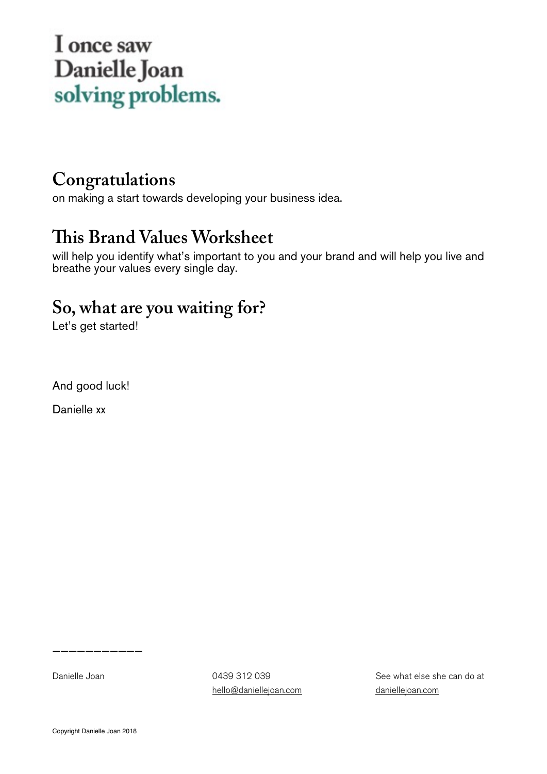#### I once saw Danielle Joan solving problems.

#### **Congratulations**

on making a start towards developing your business idea.

#### **Tis Brand Values Worksheet**

will help you identify what's important to you and your brand and will help you live and breathe your values every single day.

#### **So, what are you waiting for?**

Let's get started!

And good luck!

Danielle xx

Danielle Joan 0439 312 039 [hello@daniellejoan.com](mailto:hello@daniellejoan.com) See what else she can do at [daniellejoan.com](http://daniellejoan.com)

———————————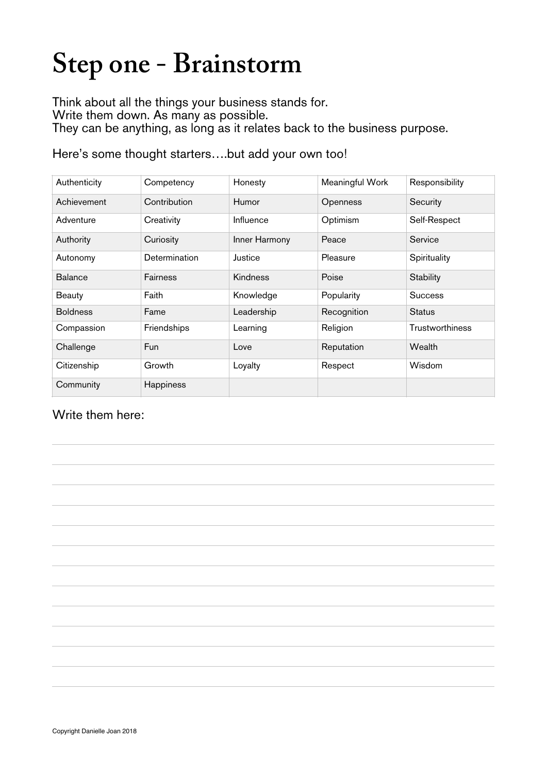### **Step one - Brainstorm**

Think about all the things your business stands for.

Write them down. As many as possible.

They can be anything, as long as it relates back to the business purpose.

Here's some thought starters….but add your own too!

| Authenticity    | Competency    | Honesty         | Meaningful Work | Responsibility         |
|-----------------|---------------|-----------------|-----------------|------------------------|
| Achievement     | Contribution  | <b>Humor</b>    | Openness        | Security               |
| Adventure       | Creativity    | Influence       | Optimism        | Self-Respect           |
| Authority       | Curiosity     | Inner Harmony   | Peace           | Service                |
| Autonomy        | Determination | Justice         | Pleasure        | Spirituality           |
| <b>Balance</b>  | Fairness      | <b>Kindness</b> | Poise           | Stability              |
| Beauty          | Faith         | Knowledge       | Popularity      | <b>Success</b>         |
| <b>Boldness</b> | Fame          | Leadership      | Recognition     | <b>Status</b>          |
| Compassion      | Friendships   | Learning        | Religion        | <b>Trustworthiness</b> |
| Challenge       | Fun           | Love            | Reputation      | Wealth                 |
| Citizenship     | Growth        | Loyalty         | Respect         | <b>Wisdom</b>          |
| Community       | Happiness     |                 |                 |                        |

Write them here:

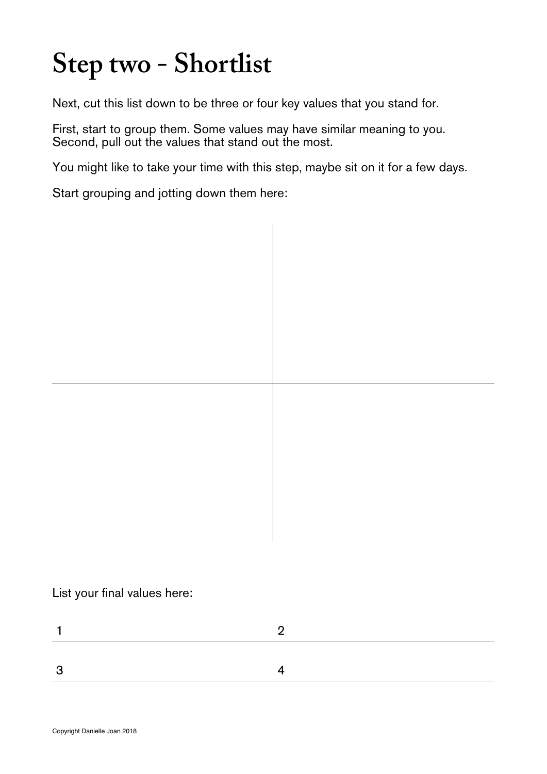## **Step two - Shortlist**

Next, cut this list down to be three or four key values that you stand for.

First, start to group them. Some values may have similar meaning to you. Second, pull out the values that stand out the most.

You might like to take your time with this step, maybe sit on it for a few days.

Start grouping and jotting down them here:

List your final values here: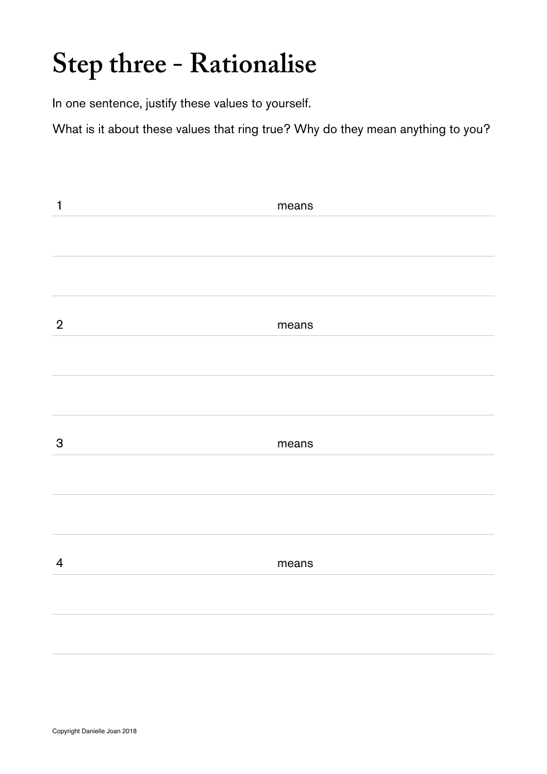#### **Step three - Rationalise**

In one sentence, justify these values to yourself.

What is it about these values that ring true? Why do they mean anything to you?

| $\mathbf{1}$   | means |
|----------------|-------|
|                |       |
|                |       |
|                |       |
| $\overline{2}$ | means |
|                |       |
|                |       |
| 3              | means |
|                |       |
|                |       |
| $\overline{4}$ | means |
|                |       |
|                |       |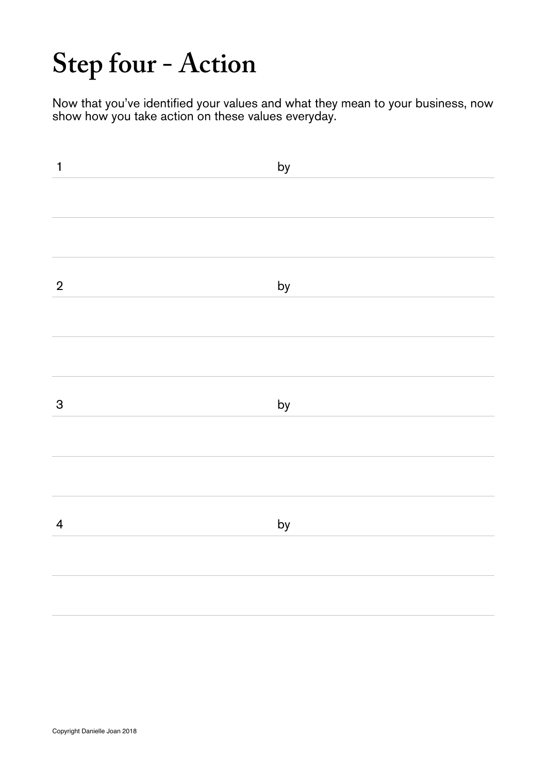### **Step four - Action**

Now that you've identified your values and what they mean to your business, now show how you take action on these values everyday.

| $\mathbf{1}$            | by |
|-------------------------|----|
|                         |    |
|                         |    |
| $\overline{2}$          | by |
|                         |    |
|                         |    |
| $\mathbf{3}$            | by |
|                         |    |
|                         |    |
| $\overline{\mathbf{4}}$ | by |
|                         |    |
|                         |    |